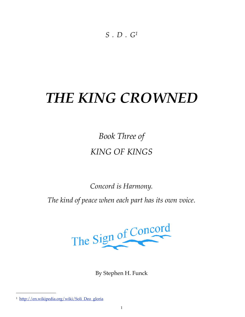*S.D.[G1](#page-0-0)*

## *THE KING CROWNED*

*Book Three of KING OF KINGS*

*Concord is Harmony. The kind of peace when each part has its own voice.*



By Stephen H. Funck

<span id="page-0-0"></span><sup>1</sup> [http://en.wikipedia.org/wiki/Soli\\_Deo\\_gloria](http://en.wikipedia.org/wiki/Soli_Deo_gloria)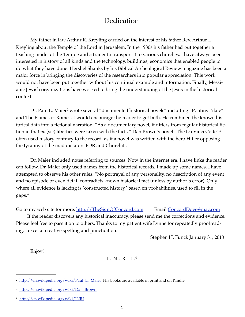## Dedication

My father in law Arthur R. Kreyling carried on the interest of his father Rev. Arthur L Kreyling about the Temple of the Lord in Jerusalem. In the 1930s his father had put together a teaching model of the Temple and a trailer to transport it to various churches. I have always been interested in history of all kinds and the technology, buildings, economics that enabled people to do what they have done. Hershel Shanks by his Biblical Archeological Review magazine has been a major force in bringing the discoveries of the researchers into popular appreciation. This work would not have been put together without his continual example and information. Finally, Messianic Jewish organizations have worked to bring the understanding of the Jesus in the historical context.

Dr. Paul L. Maier<sup>2</sup> wrote several "documented historical novels" including "Pontius Pilate" and The Flames of Rome". I would encourage the reader to get both. He combined the known historical data into a fictional narration. "As a documentary novel, it differs from regular historical fiction in that *no* (sic) liberties were taken with the facts." Dan Brown's novel "The Da Vinci Code"[3](#page-1-1) often used history contrary to the record, as if a novel was written with the hero Hitler opposing the tyranny of the mad dictators FDR and Churchill.

Dr. Maier included notes referring to sources. Now in the internet era, I have links the reader can follow. Dr. Maier only used names from the historical records, I made up some names. I have attempted to observe his other rules. "No portrayal of any personality, no description of any event and no episode or even detail contradicts known historical fact (unless by author's error). Only where all evidence is lacking is 'constructed history,' based on probabilities, used to fill in the gaps."

Go to my web site for more. [http://TheSignOfConcord.com](http://thesignofconcord.com) Email ConcordDove@mac.com

If the reader discovers any historical inaccuracy, please send me the corrections and evidence. Please feel free to pass it on to others. Thanks to my patient wife Lynne for repeatedly proofreading. I excel at creative spelling and punctuation.

Stephen H. Funck January 31, 2013

Enjoy!

## I.N.R.I.[4](#page-1-2)

<span id="page-1-0"></span><sup>&</sup>lt;sup>2</sup> [http://en.wikipedia.org/wiki/Paul\\_L.\\_Maier](http://en.wikipedia.org/wiki/Paul_L._Maier) His books are available in print and on Kindle

<span id="page-1-1"></span><sup>3</sup> [http://en.wikipedia.org/wiki/Dan\\_Brown](http://en.wikipedia.org/wiki/Dan_Brown)

<span id="page-1-2"></span><sup>4</sup> <http://en.wikipedia.org/wiki/INRI>